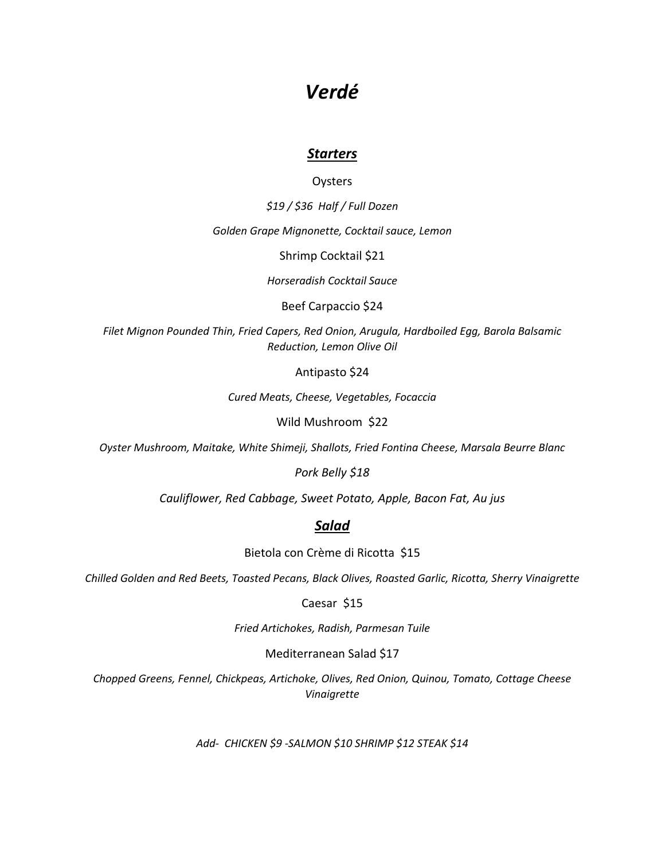# *Verdé*

# *Starters*

# **Oysters**

*\$19 / \$36 Half / Full Dozen*

*Golden Grape Mignonette, Cocktail sauce, Lemon*

Shrimp Cocktail \$21

*Horseradish Cocktail Sauce*

Beef Carpaccio \$24

*Filet Mignon Pounded Thin, Fried Capers, Red Onion, Arugula, Hardboiled Egg, Barola Balsamic Reduction, Lemon Olive Oil*

Antipasto \$24

*Cured Meats, Cheese, Vegetables, Focaccia*

Wild Mushroom \$22

*Oyster Mushroom, Maitake, White Shimeji, Shallots, Fried Fontina Cheese, Marsala Beurre Blanc*

*Pork Belly \$18*

*Cauliflower, Red Cabbage, Sweet Potato, Apple, Bacon Fat, Au jus*

# *Salad*

Bietola con Crème di Ricotta \$15

*Chilled Golden and Red Beets, Toasted Pecans, Black Olives, Roasted Garlic, Ricotta, Sherry Vinaigrette*

Caesar \$15

*Fried Artichokes, Radish, Parmesan Tuile*

Mediterranean Salad \$17

*Chopped Greens, Fennel, Chickpeas, Artichoke, Olives, Red Onion, Quinou, Tomato, Cottage Cheese Vinaigrette* 

*Add- CHICKEN \$9 -SALMON \$10 SHRIMP \$12 STEAK \$14*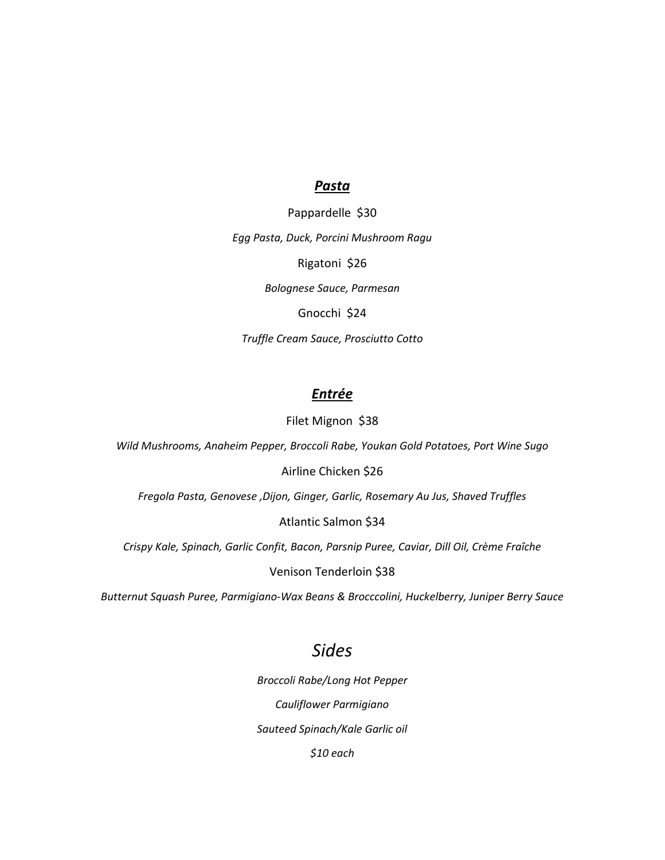### *Pasta*

Pappardelle \$30 *Egg Pasta, Duck, Porcini Mushroom Ragu* Rigatoni \$26 *Bolognese Sauce, Parmesan* Gnocchi \$24 *Truffle Cream Sauce, Prosciutto Cotto* 

# *Entrée*

Filet Mignon \$38

*Wild Mushrooms, Anaheim Pepper, Broccoli Rabe, Youkan Gold Potatoes, Port Wine Sugo*

# Airline Chicken \$26

*Fregola Pasta, Genovese ,Dijon, Ginger, Garlic, Rosemary Au Jus, Shaved Truffles*

### Atlantic Salmon \$34

*Crispy Kale, Spinach, Garlic Confit, Bacon, Parsnip Puree, Caviar, Dill Oil, Crème Fraîche*

### Venison Tenderloin \$38

*Butternut Squash Puree, Parmigiano-Wax Beans & Brocccolini, Huckelberry, Juniper Berry Sauce*

# *Sides*

*Broccoli Rabe/Long Hot Pepper Cauliflower Parmigiano Sauteed Spinach/Kale Garlic oil \$10 each*